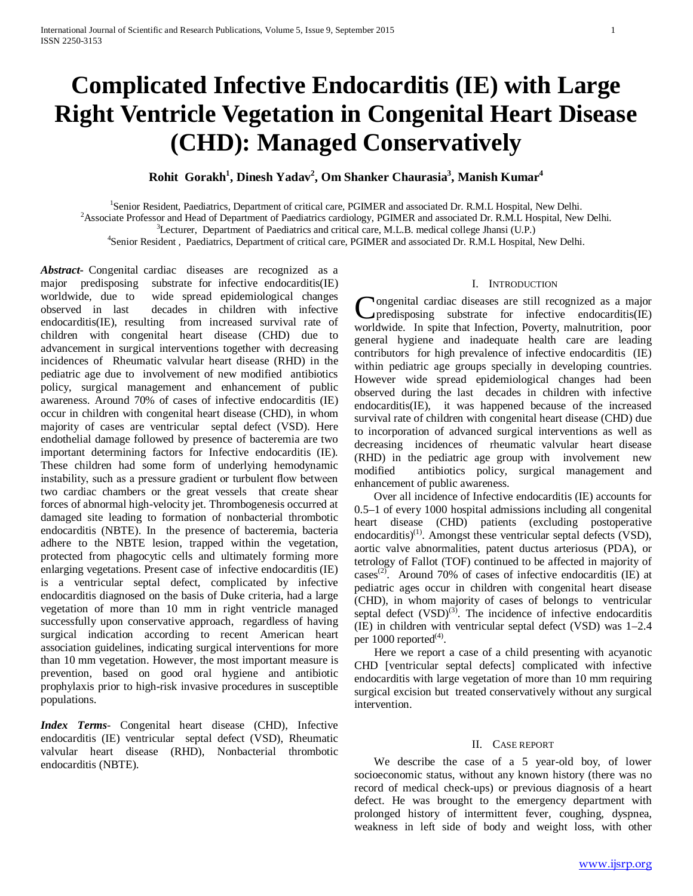# **Complicated Infective Endocarditis (IE) with Large Right Ventricle Vegetation in Congenital Heart Disease (CHD): Managed Conservatively**

## $\mathbf{Rohit}\ \mathbf{Gorakh}^{1}$ , Dinesh Yadav<sup>2</sup>, Om Shanker Chaurasia<sup>3</sup>, Manish Kumar<sup>4</sup>

<sup>1</sup>Senior Resident, Paediatrics, Department of critical care, PGIMER and associated Dr. R.M.L Hospital, New Delhi.

<sup>2</sup> Associate Professor and Head of Department of Paediatrics cardiology, PGIMER and associated Dr. R.M.L Hospital, New Delhi.

 ${}^{3}$ Lecturer, Department of Paediatrics and critical care, M.L.B. medical college Jhansi (U.P.)

<sup>4</sup>Senior Resident, Paediatrics, Department of critical care, PGIMER and associated Dr. R.M.L Hospital, New Delhi.

*Abstract***-** Congenital cardiac diseases are recognized as a major predisposing substrate for infective endocarditis(IE) worldwide, due to wide spread epidemiological changes observed in last decades in children with infective endocarditis(IE), resulting from increased survival rate of children with congenital heart disease (CHD) due to advancement in surgical interventions together with decreasing incidences of Rheumatic valvular heart disease (RHD) in the pediatric age due to involvement of new modified antibiotics policy, surgical management and enhancement of public awareness. Around 70% of cases of infective endocarditis (IE) occur in children with congenital heart disease (CHD), in whom majority of cases are ventricular septal defect (VSD). Here endothelial damage followed by presence of bacteremia are two important determining factors for Infective endocarditis (IE). These children had some form of underlying hemodynamic instability, such as a pressure gradient or turbulent flow between two cardiac chambers or the great vessels that create shear forces of abnormal high-velocity jet. Thrombogenesis occurred at damaged site leading to formation of nonbacterial thrombotic endocarditis (NBTE). In the presence of bacteremia, bacteria adhere to the NBTE lesion, trapped within the vegetation, protected from phagocytic cells and ultimately forming more enlarging vegetations. Present case of infective endocarditis (IE) is a ventricular septal defect, complicated by infective endocarditis diagnosed on the basis of Duke criteria, had a large vegetation of more than 10 mm in right ventricle managed successfully upon conservative approach, regardless of having surgical indication according to recent American heart association guidelines, indicating surgical interventions for more than 10 mm vegetation. However, the most important measure is prevention, based on good oral hygiene and antibiotic prophylaxis prior to high-risk invasive procedures in susceptible populations.

*Index Terms*- Congenital heart disease (CHD), Infective endocarditis (IE) ventricular septal defect (VSD), Rheumatic valvular heart disease (RHD), Nonbacterial thrombotic endocarditis (NBTE).

## I. INTRODUCTION

ongenital cardiac diseases are still recognized as a major Congenital cardiac diseases are still recognized as a major predisposing substrate for infective endocarditis(IE) worldwide. In spite that Infection, Poverty, malnutrition, poor general hygiene and inadequate health care are leading contributors for high prevalence of infective endocarditis (IE) within pediatric age groups specially in developing countries. However wide spread epidemiological changes had been observed during the last decades in children with infective endocarditis(IE), it was happened because of the increased survival rate of children with congenital heart disease (CHD) due to incorporation of advanced surgical interventions as well as decreasing incidences of rheumatic valvular heart disease (RHD) in the pediatric age group with involvement new modified antibiotics policy, surgical management and enhancement of public awareness.

 Over all incidence of Infective endocarditis (IE) accounts for 0.5–1 of every 1000 hospital admissions including all congenital heart disease (CHD) patients (excluding postoperative endocarditis)<sup>(1)</sup>. Amongst these ventricular septal defects (VSD), aortic valve abnormalities, patent ductus arteriosus (PDA), or tetrology of Fallot (TOF) continued to be affected in majority of cases<sup>(2)</sup>. Around 70% of cases of infective endocarditis (IE) at pediatric ages occur in children with congenital heart disease (CHD), in whom majority of cases of belongs to ventricular septal defect  $(VSD)^{(3)}$ . The incidence of infective endocarditis (IE) in children with ventricular septal defect (VSD) was 1–2.4 per  $1000$  reported<sup>(4)</sup>.

 Here we report a case of a child presenting with acyanotic CHD [ventricular septal defects] complicated with infective endocarditis with large vegetation of more than 10 mm requiring surgical excision but treated conservatively without any surgical intervention.

### II. CASE REPORT

 We describe the case of a 5 year-old boy, of lower socioeconomic status, without any known history (there was no record of medical check-ups) or previous diagnosis of a heart defect. He was brought to the emergency department with prolonged history of intermittent fever, coughing, dyspnea, weakness in left side of body and weight loss, with other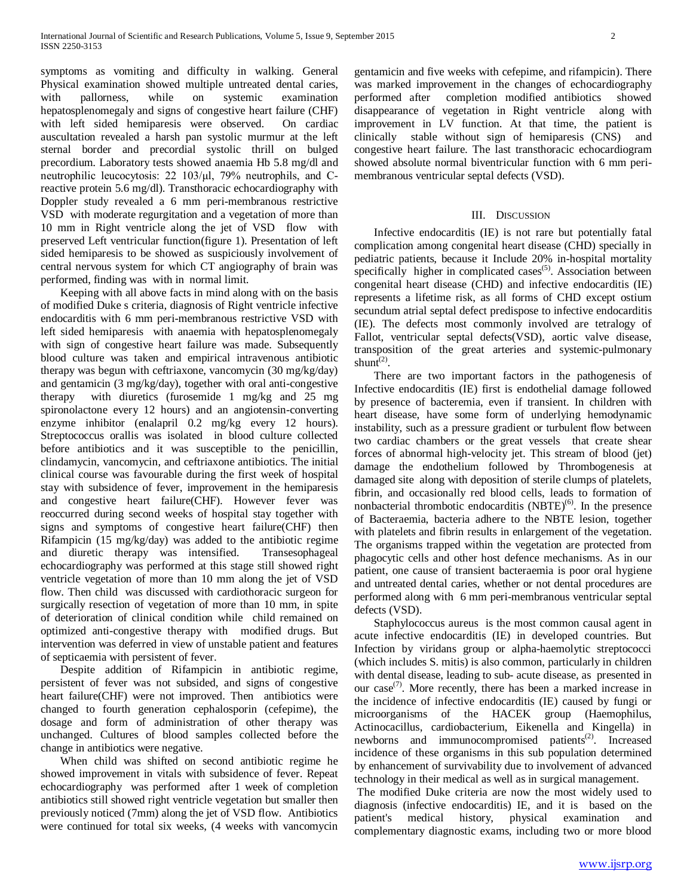symptoms as vomiting and difficulty in walking. General Physical examination showed multiple untreated dental caries, with pallorness, while on systemic examination hepatosplenomegaly and signs of congestive heart failure (CHF) with left sided hemiparesis were observed. On cardiac auscultation revealed a harsh pan systolic murmur at the left sternal border and precordial systolic thrill on bulged precordium. Laboratory tests showed anaemia Hb 5.8 mg/dl and neutrophilic leucocytosis: 22 103/μl, 79% neutrophils, and Creactive protein 5.6 mg/dl). Transthoracic echocardiography with Doppler study revealed a 6 mm peri-membranous restrictive VSD with moderate regurgitation and a vegetation of more than 10 mm in Right ventricle along the jet of VSD flow with preserved Left ventricular function(figure 1). Presentation of left sided hemiparesis to be showed as suspiciously involvement of central nervous system for which CT angiography of brain was performed, finding was with in normal limit.

 Keeping with all above facts in mind along with on the basis of modified Duke s criteria, diagnosis of Right ventricle infective endocarditis with 6 mm peri-membranous restrictive VSD with left sided hemiparesis with anaemia with hepatosplenomegaly with sign of congestive heart failure was made. Subsequently blood culture was taken and empirical intravenous antibiotic therapy was begun with ceftriaxone, vancomycin (30 mg/kg/day) and gentamicin (3 mg/kg/day), together with oral anti-congestive therapy with diuretics (furosemide 1 mg/kg and 25 mg spironolactone every 12 hours) and an angiotensin-converting enzyme inhibitor (enalapril 0.2 mg/kg every 12 hours). Streptococcus orallis was isolated in blood culture collected before antibiotics and it was susceptible to the penicillin, clindamycin, vancomycin, and ceftriaxone antibiotics. The initial clinical course was favourable during the first week of hospital stay with subsidence of fever, improvement in the hemiparesis and congestive heart failure(CHF). However fever was reoccurred during second weeks of hospital stay together with signs and symptoms of congestive heart failure(CHF) then Rifampicin (15 mg/kg/day) was added to the antibiotic regime and diuretic therapy was intensified. Transesophageal echocardiography was performed at this stage still showed right ventricle vegetation of more than 10 mm along the jet of VSD flow. Then child was discussed with cardiothoracic surgeon for surgically resection of vegetation of more than 10 mm, in spite of deterioration of clinical condition while child remained on optimized anti-congestive therapy with modified drugs. But intervention was deferred in view of unstable patient and features of septicaemia with persistent of fever.

 Despite addition of Rifampicin in antibiotic regime, persistent of fever was not subsided, and signs of congestive heart failure(CHF) were not improved. Then antibiotics were changed to fourth generation cephalosporin (cefepime), the dosage and form of administration of other therapy was unchanged. Cultures of blood samples collected before the change in antibiotics were negative.

 When child was shifted on second antibiotic regime he showed improvement in vitals with subsidence of fever. Repeat echocardiography was performed after 1 week of completion antibiotics still showed right ventricle vegetation but smaller then previously noticed (7mm) along the jet of VSD flow. Antibiotics were continued for total six weeks, (4 weeks with vancomycin

gentamicin and five weeks with cefepime, and rifampicin). There was marked improvement in the changes of echocardiography performed after completion modified antibiotics showed disappearance of vegetation in Right ventricle along with improvement in LV function. At that time, the patient is clinically stable without sign of hemiparesis (CNS) and congestive heart failure. The last transthoracic echocardiogram showed absolute normal biventricular function with 6 mm perimembranous ventricular septal defects (VSD).

## III. DISCUSSION

 Infective endocarditis (IE) is not rare but potentially fatal complication among congenital heart disease (CHD) specially in pediatric patients, because it Include 20% in-hospital mortality specifically higher in complicated cases<sup> $(5)$ </sup>. Association between congenital heart disease (CHD) and infective endocarditis (IE) represents a lifetime risk, as all forms of CHD except ostium secundum atrial septal defect predispose to infective endocarditis (IE). The defects most commonly involved are tetralogy of Fallot, ventricular septal defects(VSD), aortic valve disease, transposition of the great arteries and systemic-pulmonary shunt<sup> $(2)$ </sup>.

 There are two important factors in the pathogenesis of Infective endocarditis (IE) first is endothelial damage followed by presence of bacteremia, even if transient. In children with heart disease, have some form of underlying hemodynamic instability, such as a pressure gradient or turbulent flow between two cardiac chambers or the great vessels that create shear forces of abnormal high-velocity jet. This stream of blood (jet) damage the endothelium followed by Thrombogenesis at damaged site along with deposition of sterile clumps of platelets, fibrin, and occasionally red blood cells, leads to formation of nonbacterial thrombotic endocarditis  $(NBTE)^{(6)}$ . In the presence of Bacteraemia, bacteria adhere to the NBTE lesion, together with platelets and fibrin results in enlargement of the vegetation. The organisms trapped within the vegetation are protected from phagocytic cells and other host defence mechanisms. As in our patient, one cause of transient bacteraemia is poor oral hygiene and untreated dental caries, whether or not dental procedures are performed along with 6 mm peri-membranous ventricular septal defects (VSD).

 Staphylococcus aureus is the most common causal agent in acute infective endocarditis (IE) in developed countries. But Infection by viridans group or alpha-haemolytic streptococci (which includes S. mitis) is also common, particularly in children with dental disease, leading to sub- acute disease, as presented in our case<sup> $(7)$ </sup>. More recently, there has been a marked increase in the incidence of infective endocarditis (IE) caused by fungi or microorganisms of the HACEK group (Haemophilus, Actinocacillus, cardiobacterium, Eikenella and Kingella) in newborns and immunocompromised patients<sup>(2)</sup>. Increased incidence of these organisms in this sub population determined by enhancement of survivability due to involvement of advanced technology in their medical as well as in surgical management.

The modified Duke criteria are now the most widely used to diagnosis (infective endocarditis) IE, and it is based on the patient's medical history, physical examination and complementary diagnostic exams, including two or more blood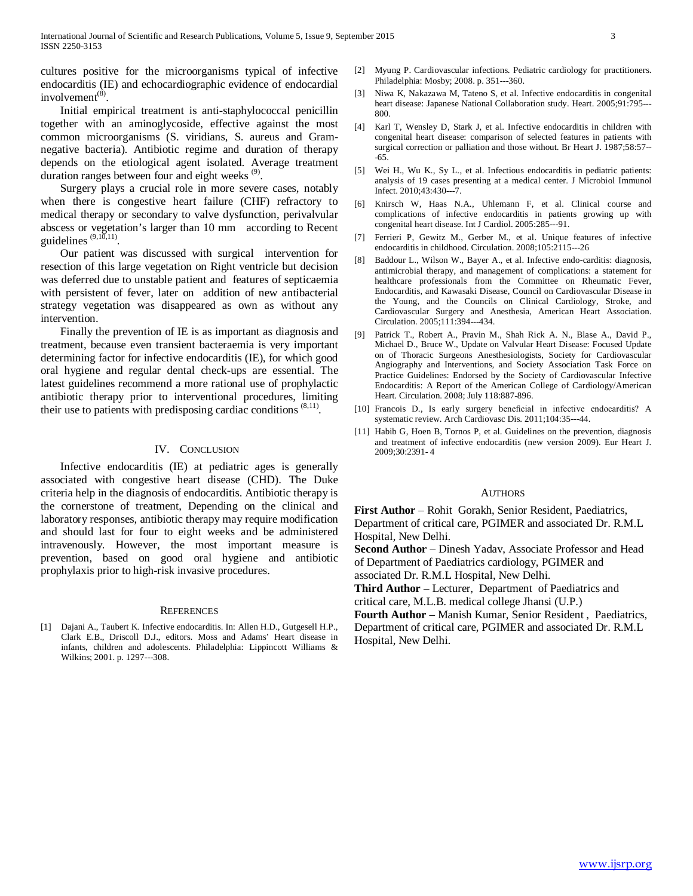cultures positive for the microorganisms typical of infective endocarditis (IE) and echocardiographic evidence of endocardial involvement $(8)$ .

 Initial empirical treatment is anti-staphylococcal penicillin together with an aminoglycoside, effective against the most common microorganisms (S. viridians, S. aureus and Gramnegative bacteria). Antibiotic regime and duration of therapy depends on the etiological agent isolated. Average treatment duration ranges between four and eight weeks  $(9)$ .

 Surgery plays a crucial role in more severe cases, notably when there is congestive heart failure (CHF) refractory to medical therapy or secondary to valve dysfunction, perivalvular abscess or vegetation's larger than 10 mm according to Recent guidelines  $(9,10,11)$ .

 Our patient was discussed with surgical intervention for resection of this large vegetation on Right ventricle but decision was deferred due to unstable patient and features of septicaemia with persistent of fever, later on addition of new antibacterial strategy vegetation was disappeared as own as without any intervention.

 Finally the prevention of IE is as important as diagnosis and treatment, because even transient bacteraemia is very important determining factor for infective endocarditis (IE), for which good oral hygiene and regular dental check-ups are essential. The latest guidelines recommend a more rational use of prophylactic antibiotic therapy prior to interventional procedures, limiting their use to patients with predisposing cardiac conditions  $(8,11)$ .

## IV. CONCLUSION

 Infective endocarditis (IE) at pediatric ages is generally associated with congestive heart disease (CHD). The Duke criteria help in the diagnosis of endocarditis. Antibiotic therapy is the cornerstone of treatment, Depending on the clinical and laboratory responses, antibiotic therapy may require modification and should last for four to eight weeks and be administered intravenously. However, the most important measure is prevention, based on good oral hygiene and antibiotic prophylaxis prior to high-risk invasive procedures.

#### **REFERENCES**

[1] Dajani A., Taubert K. Infective endocarditis. In: Allen H.D., Gutgesell H.P., Clark E.B., Driscoll D.J., editors. Moss and Adams' Heart disease in infants, children and adolescents. Philadelphia: Lippincott Williams & Wilkins; 2001. p. 1297---308.

- [2] Myung P. Cardiovascular infections. Pediatric cardiology for practitioners. Philadelphia: Mosby; 2008. p. 351---360.
- [3] Niwa K, Nakazawa M, Tateno S, et al. Infective endocarditis in congenital heart disease: Japanese National Collaboration study. Heart. 2005;91:795--- 800.
- [4] Karl T, Wensley D, Stark J, et al. Infective endocarditis in children with congenital heart disease: comparison of selected features in patients with surgical correction or palliation and those without. Br Heart J. 1987;58:57-- -65.
- [5] Wei H., Wu K., Sy L., et al. Infectious endocarditis in pediatric patients: analysis of 19 cases presenting at a medical center. J Microbiol Immunol Infect. 2010;43:430---7.
- [6] Knirsch W, Haas N.A., Uhlemann F, et al. Clinical course and complications of infective endocarditis in patients growing up with congenital heart disease. Int J Cardiol. 2005:285---91.
- [7] Ferrieri P, Gewitz M., Gerber M., et al. Unique features of infective endocarditis in childhood. Circulation. 2008;105:2115---26
- [8] Baddour L., Wilson W., Bayer A., et al. Infective endo-carditis: diagnosis, antimicrobial therapy, and management of complications: a statement for healthcare professionals from the Committee on Rheumatic Fever, Endocarditis, and Kawasaki Disease, Council on Cardiovascular Disease in the Young, and the Councils on Clinical Cardiology, Stroke, and Cardiovascular Surgery and Anesthesia, American Heart Association. Circulation. 2005;111:394---434.
- [9] Patrick T., Robert A., Pravin M., Shah Rick A. N., Blase A., David P., Michael D., Bruce W., Update on Valvular Heart Disease: Focused Update on of Thoracic Surgeons Anesthesiologists, Society for Cardiovascular Angiography and Interventions, and Society Association Task Force on Practice Guidelines: Endorsed by the Society of Cardiovascular Infective Endocarditis: A Report of the American College of Cardiology/American Heart. Circulation. 2008; July 118:887-896.
- [10] Francois D., Is early surgery beneficial in infective endocarditis? A systematic review. Arch Cardiovasc Dis. 2011;104:35---44.
- [11] Habib G, Hoen B, Tornos P, et al. Guidelines on the prevention, diagnosis and treatment of infective endocarditis (new version 2009). Eur Heart J. 2009;30:2391- 4

#### **AUTHORS**

**First Author** – Rohit Gorakh, Senior Resident, Paediatrics, Department of critical care, PGIMER and associated Dr. R.M.L Hospital, New Delhi.

**Second Author** – Dinesh Yadav, Associate Professor and Head of Department of Paediatrics cardiology, PGIMER and associated Dr. R.M.L Hospital, New Delhi.

**Third Author** – Lecturer, Department of Paediatrics and critical care, M.L.B. medical college Jhansi (U.P.)

**Fourth Author** – Manish Kumar, Senior Resident , Paediatrics, Department of critical care, PGIMER and associated Dr. R.M.L Hospital, New Delhi.